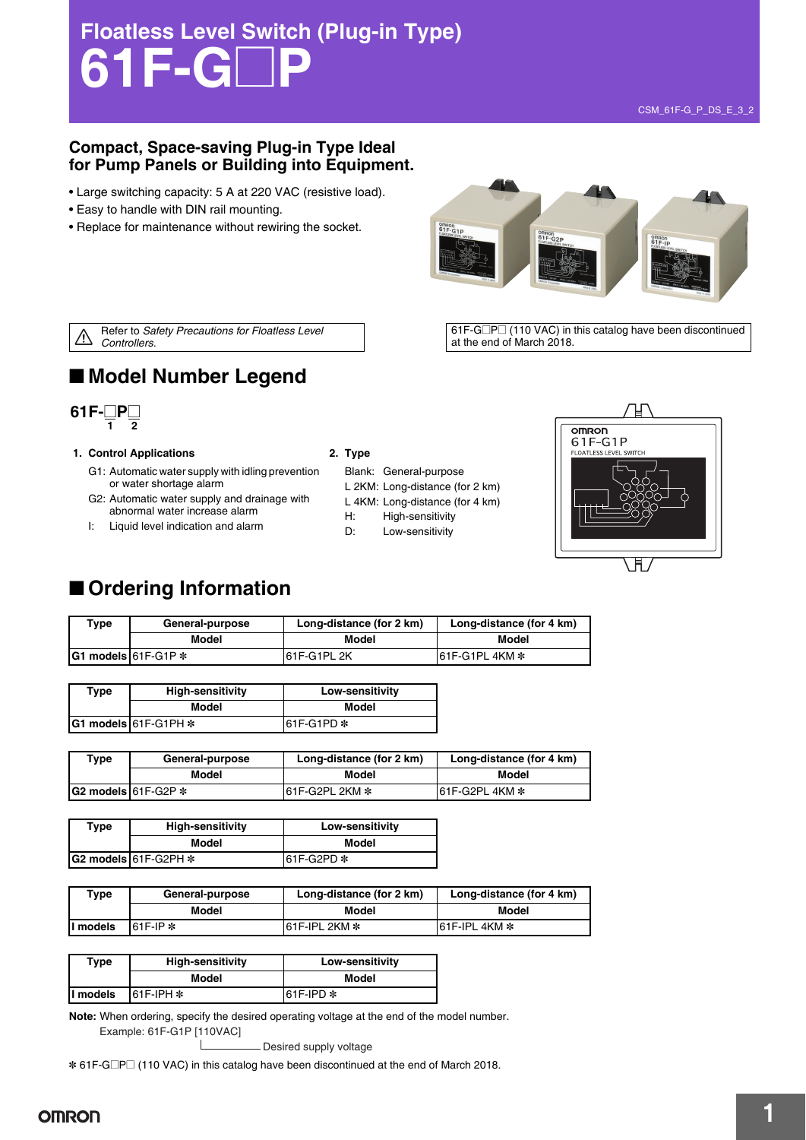# **Floatless Level Switch (Plug-in Type) 61F-G**@**P**

#### **Compact, Space-saving Plug-in Type Ideal for Pump Panels or Building into Equipment.**

- Large switching capacity: 5 A at 220 VAC (resistive load).
- Easy to handle with DIN rail mounting.
- Replace for maintenance without rewiring the socket.



Refer to *Safety Precautions for Floatless Level*   $\overline{\mathbb{V}}$ *Controllers*.

 $61F-G\square P\square$  (110 VAC) in this catalog have been discontinued at the end of March 2018.

### ■ Model Number Legend



#### **1. Control Applications 2. Type**

- G1: Automatic water supply with idling prevention or water shortage alarm
- G2: Automatic water supply and drainage with abnormal water increase alarm
- I: Liquid level indication and alarm

- Blank: General-purpose
- L 2KM: Long-distance (for 2 km)
- L 4KM: Long-distance (for 4 km)
- H: High-sensitivity
- D: Low-sensitivity



### ■ **Ordering Information**

| $\mathsf{vpe}$ | General-purpose       | Long-distance (for 2 km) | Long-distance (for 4 km) |  |
|----------------|-----------------------|--------------------------|--------------------------|--|
|                | Model                 | Model                    | Model                    |  |
|                | IG1 models I61F G1P * | 61F-G1PL 2K              | $161F-G1PL4KM*$          |  |

| Type | <b>High-sensitivity</b>      | Low-sensitivity |  |
|------|------------------------------|-----------------|--|
|      | Model                        | Model           |  |
|      | $ G1$ models $ 61F-G1PH$ $*$ | $61F-G1PD*$     |  |

| ™уре | General-purpose             | Long-distance (for 2 km) | Long-distance (for 4 km) |
|------|-----------------------------|--------------------------|--------------------------|
|      | Model                       | Model                    | Model                    |
|      | $IG2$ models $161F-G2P$ $*$ | 161F-G2PL 2KM *          | 161F-G2PL 4KM *          |

| Type | <b>High-sensitivity</b>  | Low-sensitivity |  |
|------|--------------------------|-----------------|--|
|      | Model                    | Model           |  |
|      | $GG$ models $61F-G2PH$ * | l61F-G2PD *     |  |

| Type      | General-purpose | Long-distance (for 2 km) | Long-distance (for 4 km) |  |
|-----------|-----------------|--------------------------|--------------------------|--|
|           | Model           | Model                    | Model                    |  |
| II models | $61F$ -IP $*$   | 161F-IPL 2KM *           | $161$ F-IPL 4KM $*$      |  |

| Type     | <b>High-sensitivity</b> | Low-sensitivity |  |
|----------|-------------------------|-----------------|--|
|          | Model                   | Model           |  |
| I models | $161F$ IPH $*$          | 161F-IPD *      |  |

**Note:** When ordering, specify the desired operating voltage at the end of the model number. Example: 61F-G1P [110VAC]

- Desired supply voltage

\* 61F-G□P□ (110 VAC) in this catalog have been discontinued at the end of March 2018.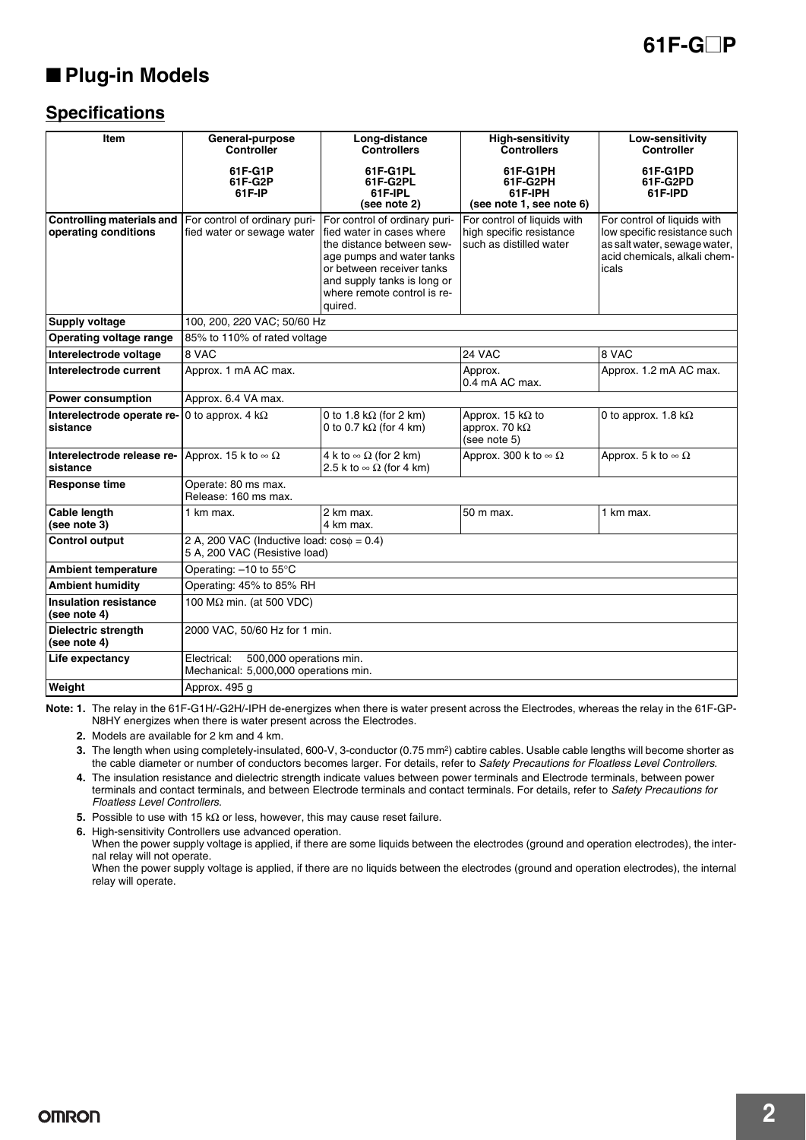### ■ **Plug-in Models**

### **Specifications**

| Item                                                     | General-purpose<br><b>Controller</b>                                             | Long-distance<br><b>Controllers</b>                                                                                                                                                                                        | <b>High-sensitivity</b><br><b>Controllers</b>                                      | Low-sensitivity<br><b>Controller</b>                                                                                                 |
|----------------------------------------------------------|----------------------------------------------------------------------------------|----------------------------------------------------------------------------------------------------------------------------------------------------------------------------------------------------------------------------|------------------------------------------------------------------------------------|--------------------------------------------------------------------------------------------------------------------------------------|
|                                                          | 61F-G1P<br>61F-G2P<br>61F-IP                                                     | 61F-G1PL<br>61F-G2PL<br>61F-IPL<br>(see note 2)                                                                                                                                                                            | 61F-G1PH<br>61F-G2PH<br>61F-IPH<br>(see note 1, see note 6)                        | 61F-G1PD<br>61F-G2PD<br>61F-IPD                                                                                                      |
| <b>Controlling materials and</b><br>operating conditions | For control of ordinary puri-<br>fied water or sewage water                      | For control of ordinary puri-<br>fied water in cases where<br>the distance between sew-<br>age pumps and water tanks<br>or between receiver tanks<br>and supply tanks is long or<br>where remote control is re-<br>auired. | For control of liquids with<br>high specific resistance<br>such as distilled water | For control of liquids with<br>low specific resistance such<br>as salt water, sewage water,<br>acid chemicals, alkali chem-<br>icals |
| Supply voltage                                           | 100, 200, 220 VAC; 50/60 Hz                                                      |                                                                                                                                                                                                                            |                                                                                    |                                                                                                                                      |
| Operating voltage range                                  | 85% to 110% of rated voltage                                                     |                                                                                                                                                                                                                            |                                                                                    |                                                                                                                                      |
| Interelectrode voltage                                   | 8 VAC                                                                            |                                                                                                                                                                                                                            | 24 VAC                                                                             | 8 VAC                                                                                                                                |
| Interelectrode current                                   | Approx. 1 mA AC max.                                                             |                                                                                                                                                                                                                            | Approx.<br>0.4 mA AC max.                                                          | Approx. 1.2 mA AC max.                                                                                                               |
| <b>Power consumption</b>                                 | Approx. 6.4 VA max.                                                              |                                                                                                                                                                                                                            |                                                                                    |                                                                                                                                      |
| Interelectrode operate re-<br>sistance                   | 0 to approx. 4 $k\Omega$                                                         | 0 to 1.8 k $\Omega$ (for 2 km)<br>0 to 0.7 k $\Omega$ (for 4 km)                                                                                                                                                           | Approx. 15 $k\Omega$ to<br>approx. 70 $k\Omega$<br>(see note 5)                    | 0 to approx. 1.8 $k\Omega$                                                                                                           |
| Interelectrode release re-<br>sistance                   | Approx. 15 k to $\infty \Omega$                                                  | 4 k to $\infty$ $\Omega$ (for 2 km)<br>2.5 k to $\infty$ $\Omega$ (for 4 km)                                                                                                                                               | Approx. 300 k to $\infty \Omega$                                                   | Approx. 5 k to $\infty \Omega$                                                                                                       |
| <b>Response time</b>                                     | Operate: 80 ms max.<br>Release: 160 ms max.                                      |                                                                                                                                                                                                                            |                                                                                    |                                                                                                                                      |
| Cable length<br>(see note 3)                             | 1 km max.                                                                        | 2 km max.<br>4 km max.                                                                                                                                                                                                     | 50 m max.                                                                          | 1 km max.                                                                                                                            |
| <b>Control output</b>                                    | 2 A, 200 VAC (Inductive load: $cos\phi = 0.4$ )<br>5 A, 200 VAC (Resistive load) |                                                                                                                                                                                                                            |                                                                                    |                                                                                                                                      |
| <b>Ambient temperature</b>                               | Operating: -10 to 55°C                                                           |                                                                                                                                                                                                                            |                                                                                    |                                                                                                                                      |
| <b>Ambient humidity</b>                                  | Operating: 45% to 85% RH                                                         |                                                                                                                                                                                                                            |                                                                                    |                                                                                                                                      |
| <b>Insulation resistance</b><br>(see note 4)             | 100 MΩ min. (at 500 VDC)                                                         |                                                                                                                                                                                                                            |                                                                                    |                                                                                                                                      |
| Dielectric strength<br>(see note 4)                      | 2000 VAC, 50/60 Hz for 1 min.                                                    |                                                                                                                                                                                                                            |                                                                                    |                                                                                                                                      |
| Life expectancy                                          | Electrical:<br>500,000 operations min.<br>Mechanical: 5,000,000 operations min.  |                                                                                                                                                                                                                            |                                                                                    |                                                                                                                                      |
| Weight                                                   | Approx. 495 q                                                                    |                                                                                                                                                                                                                            |                                                                                    |                                                                                                                                      |

**Note: 1.** The relay in the 61F-G1H/-G2H/-IPH de-energizes when there is water present across the Electrodes, whereas the relay in the 61F-GP-N8HY energizes when there is water present across the Electrodes.

**2.** Models are available for 2 km and 4 km.

**3.** The length when using completely-insulated, 600-V, 3-conductor (0.75 mm<sup>2</sup>) cabtire cables. Usable cable lengths will become shorter as the cable diameter or number of conductors becomes larger. For details, refer to *Safety Precautions for Floatless Level Controllers*.

**4.** The insulation resistance and dielectric strength indicate values between power terminals and Electrode terminals, between power terminals and contact terminals, and between Electrode terminals and contact terminals. For details, refer to *Safety Precautions for Floatless Level Controllers*.

**5.** Possible to use with 15 kΩ or less, however, this may cause reset failure.

**6.** High-sensitivity Controllers use advanced operation.

When the power supply voltage is applied, if there are some liquids between the electrodes (ground and operation electrodes), the internal relay will not operate.

When the power supply voltage is applied, if there are no liquids between the electrodes (ground and operation electrodes), the internal relay will operate.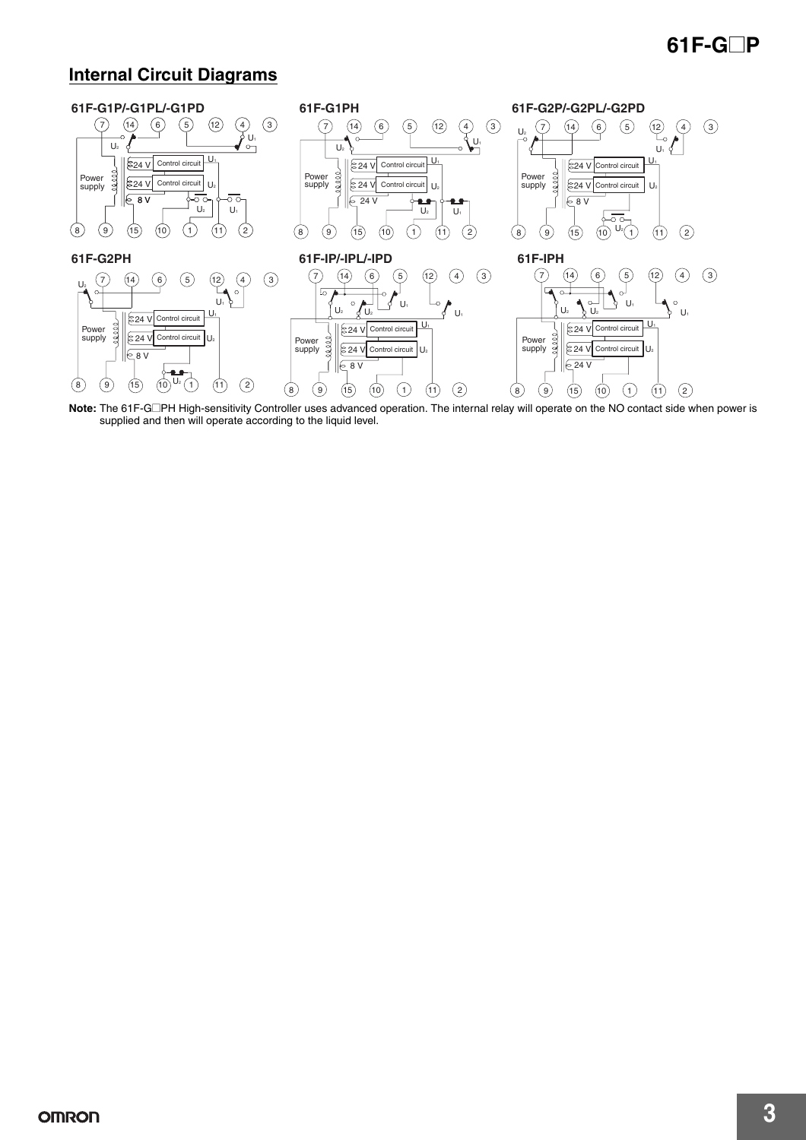### **Internal Circuit Diagrams**



Note: The 61F-G□PH High-sensitivity Controller uses advanced operation. The internal relay will operate on the NO contact side when power is supplied and then will operate according to the liquid level.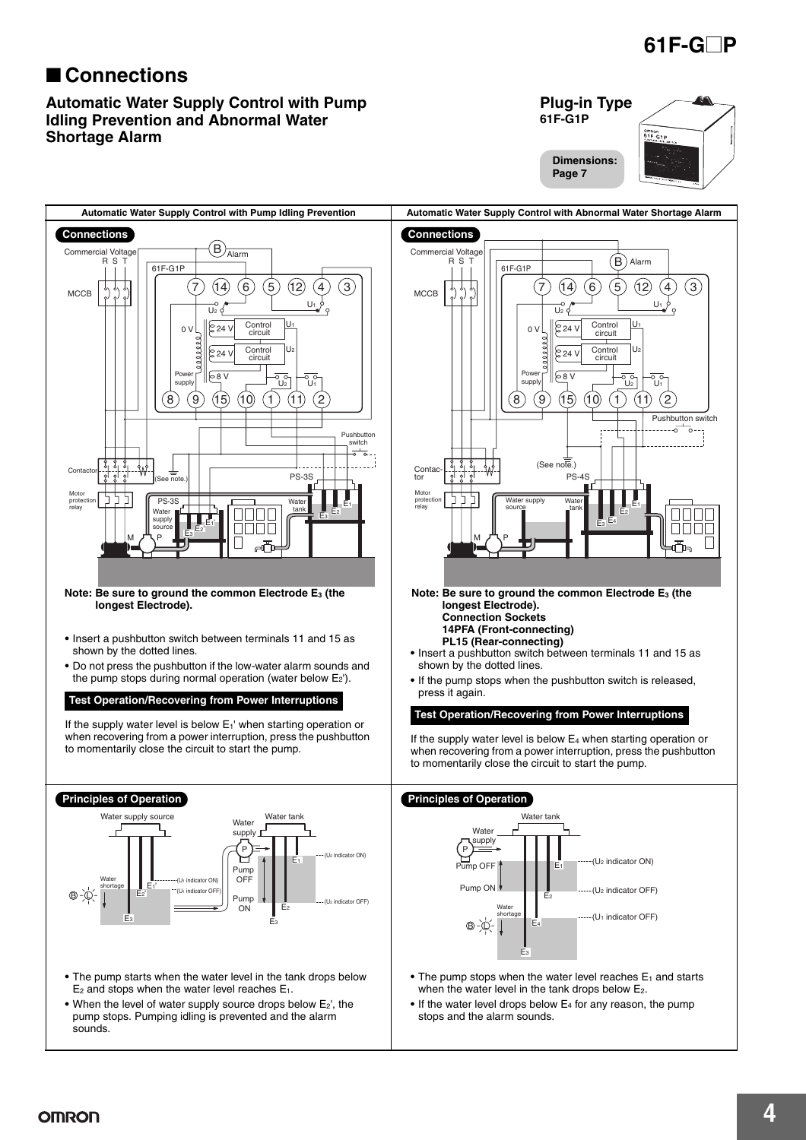### ■ **Connections**

#### **Automatic Water Supply Control with Pump Idling Prevention and Abnormal Water Shortage Alarm**



**61F-G**@**P**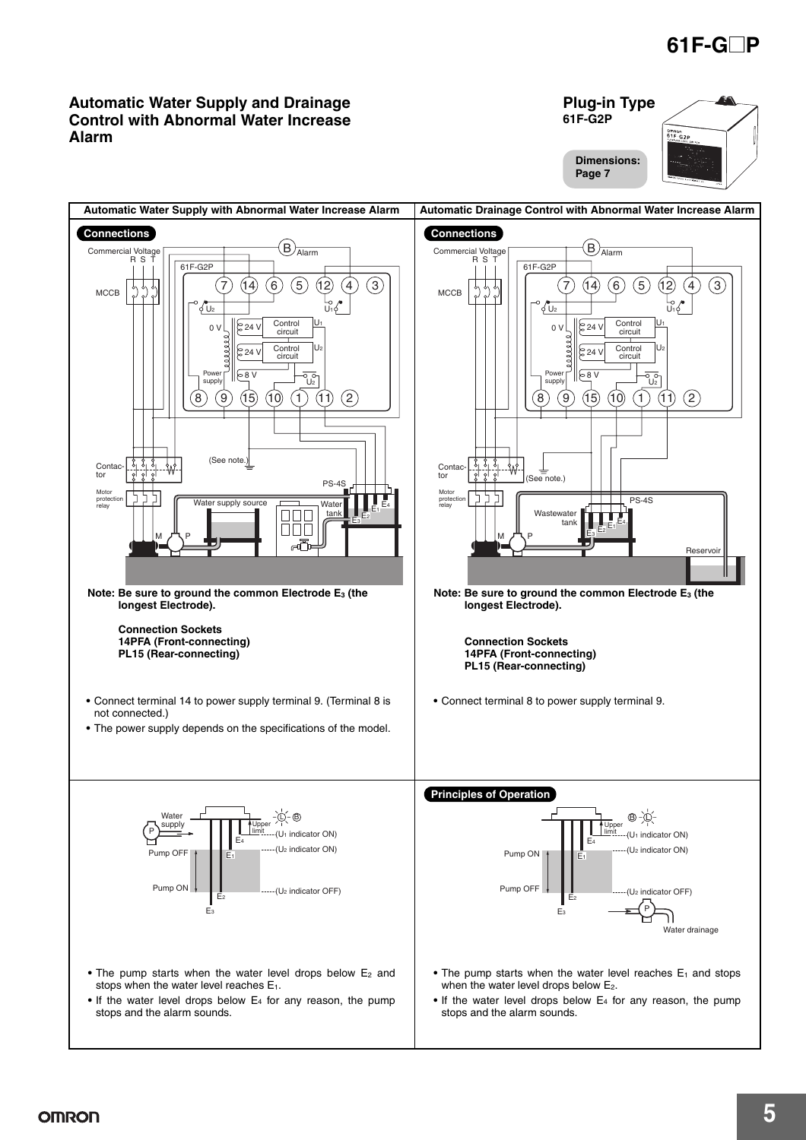omnon<br>61F-G2P

**Plug-in Type 61F-G2P**

#### **Automatic Water Supply and Drainage Control with Abnormal Water Increase Alarm**

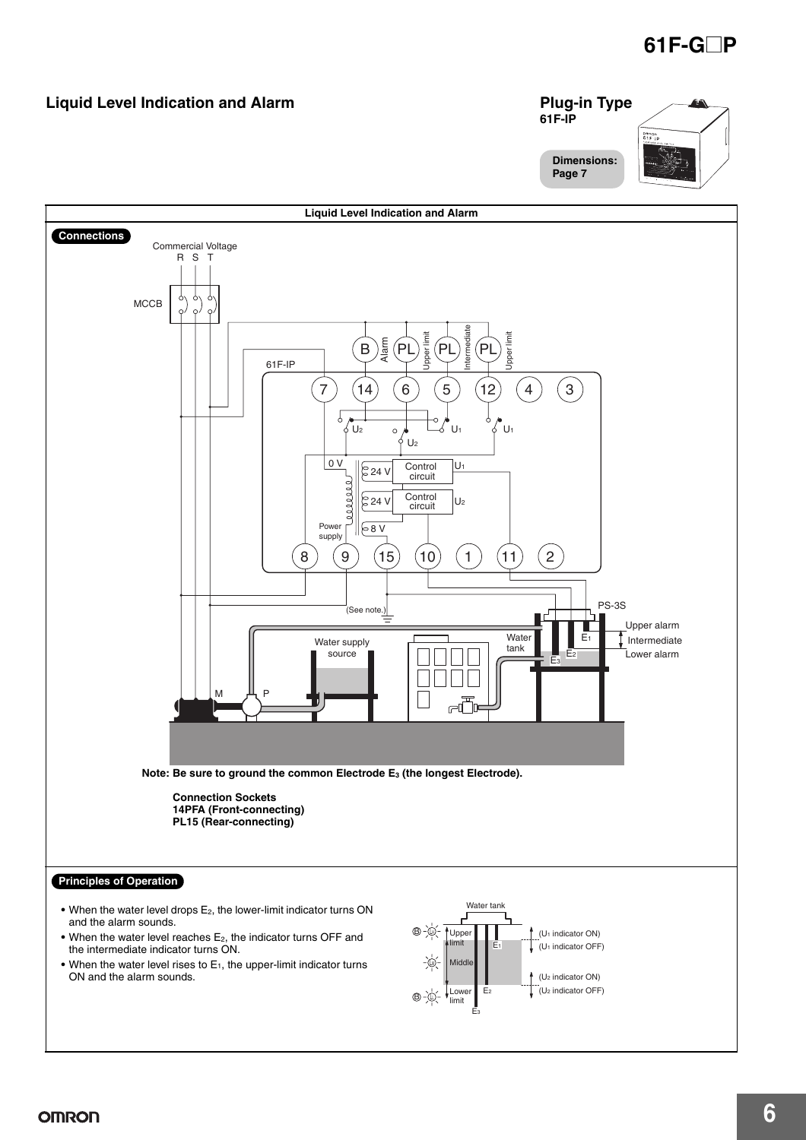#### **Liquid Level Indication and Alarm**

#### **Plug-in Type 61F-IP** omn<br>61 F **Dimensions: Page 7**

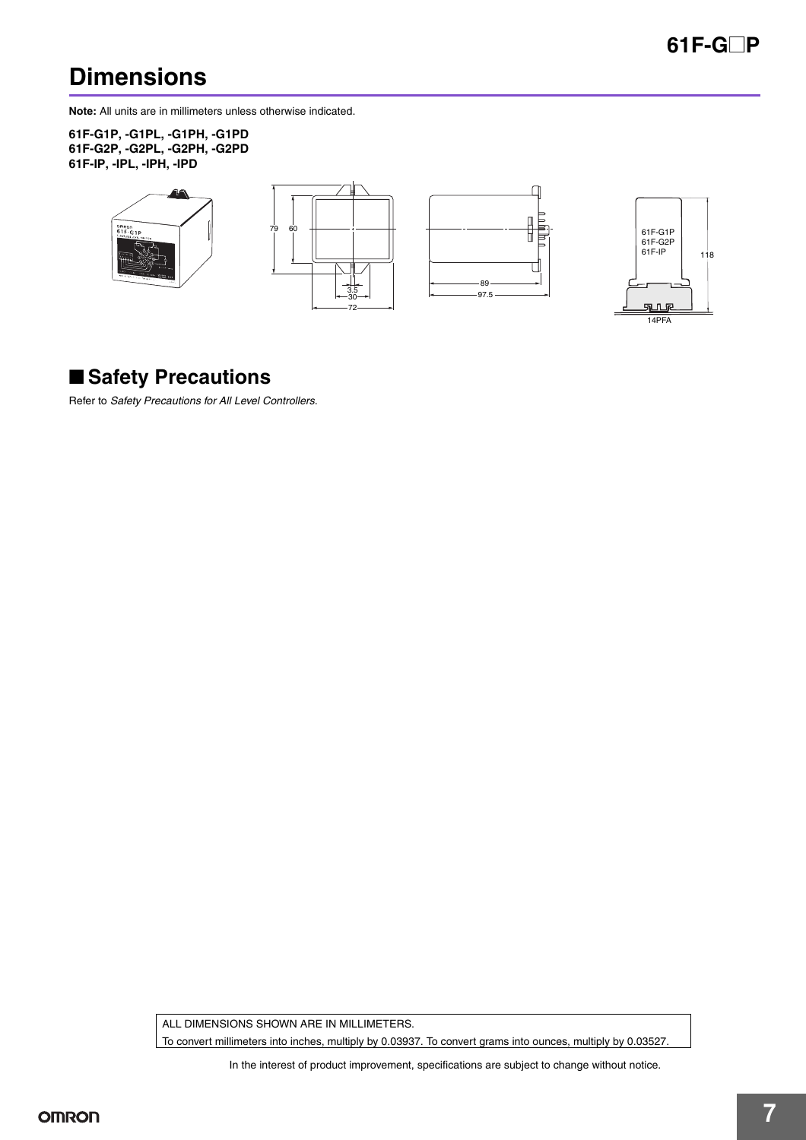## **Dimensions**

**Note:** All units are in millimeters unless otherwise indicated.

**61F-G1P, -G1PL, -G1PH, -G1PD 61F-G2P, -G2PL, -G2PH, -G2PD 61F-IP, -IPL, -IPH, -IPD**



### ■ **Safety Precautions**

Refer to *Safety Precautions for All Level Controllers*.

ALL DIMENSIONS SHOWN ARE IN MILLIMETERS.

To convert millimeters into inches, multiply by 0.03937. To convert grams into ounces, multiply by 0.03527.

In the interest of product improvement, specifications are subject to change without notice.